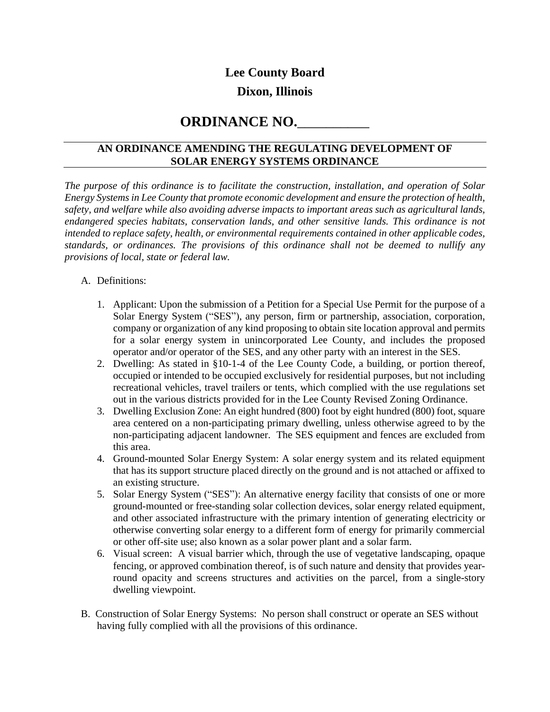### **Lee County Board**

## **Dixon, Illinois**

# **ORDINANCE NO.**\_\_\_\_\_\_\_\_\_\_

### **AN ORDINANCE AMENDING THE REGULATING DEVELOPMENT OF SOLAR ENERGY SYSTEMS ORDINANCE**

*The purpose of this ordinance is to facilitate the construction, installation, and operation of Solar Energy Systems in Lee County that promote economic development and ensure the protection of health, safety, and welfare while also avoiding adverse impacts to important areas such as agricultural lands, endangered species habitats, conservation lands, and other sensitive lands. This ordinance is not intended to replace safety, health, or environmental requirements contained in other applicable codes, standards, or ordinances. The provisions of this ordinance shall not be deemed to nullify any provisions of local, state or federal law.*

### A. Definitions:

- 1. Applicant: Upon the submission of a Petition for a Special Use Permit for the purpose of a Solar Energy System ("SES"), any person, firm or partnership, association, corporation, company or organization of any kind proposing to obtain site location approval and permits for a solar energy system in unincorporated Lee County, and includes the proposed operator and/or operator of the SES, and any other party with an interest in the SES.
- 2. Dwelling: As stated in §10-1-4 of the Lee County Code, a building, or portion thereof, occupied or intended to be occupied exclusively for residential purposes, but not including recreational vehicles, travel trailers or tents, which complied with the use regulations set out in the various districts provided for in the Lee County Revised Zoning Ordinance.
- 3. Dwelling Exclusion Zone: An eight hundred (800) foot by eight hundred (800) foot, square area centered on a non-participating primary dwelling, unless otherwise agreed to by the non-participating adjacent landowner. The SES equipment and fences are excluded from this area.
- 4. Ground-mounted Solar Energy System: A solar energy system and its related equipment that has its support structure placed directly on the ground and is not attached or affixed to an existing structure.
- 5. Solar Energy System ("SES"): An alternative energy facility that consists of one or more ground-mounted or free-standing solar collection devices, solar energy related equipment, and other associated infrastructure with the primary intention of generating electricity or otherwise converting solar energy to a different form of energy for primarily commercial or other off-site use; also known as a solar power plant and a solar farm.
- 6. Visual screen: A visual barrier which, through the use of vegetative landscaping, opaque fencing, or approved combination thereof, is of such nature and density that provides yearround opacity and screens structures and activities on the parcel, from a single-story dwelling viewpoint.
- B. Construction of Solar Energy Systems: No person shall construct or operate an SES without having fully complied with all the provisions of this ordinance.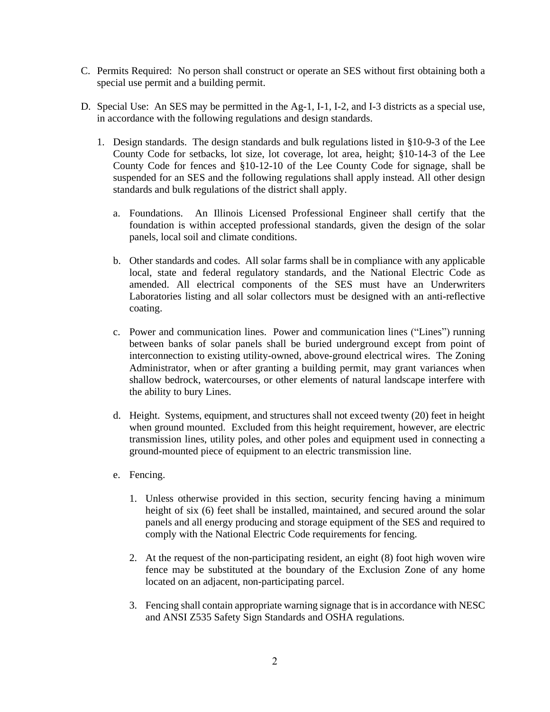- C. Permits Required: No person shall construct or operate an SES without first obtaining both a special use permit and a building permit.
- D. Special Use: An SES may be permitted in the Ag-1, I-1, I-2, and I-3 districts as a special use, in accordance with the following regulations and design standards.
	- 1. Design standards. The design standards and bulk regulations listed in §10-9-3 of the Lee County Code for setbacks, lot size, lot coverage, lot area, height; §10-14-3 of the Lee County Code for fences and §10-12-10 of the Lee County Code for signage, shall be suspended for an SES and the following regulations shall apply instead. All other design standards and bulk regulations of the district shall apply.
		- a. Foundations. An Illinois Licensed Professional Engineer shall certify that the foundation is within accepted professional standards, given the design of the solar panels, local soil and climate conditions.
		- b. Other standards and codes. All solar farms shall be in compliance with any applicable local, state and federal regulatory standards, and the National Electric Code as amended. All electrical components of the SES must have an Underwriters Laboratories listing and all solar collectors must be designed with an anti-reflective coating.
		- c. Power and communication lines. Power and communication lines ("Lines") running between banks of solar panels shall be buried underground except from point of interconnection to existing utility-owned, above-ground electrical wires. The Zoning Administrator, when or after granting a building permit, may grant variances when shallow bedrock, watercourses, or other elements of natural landscape interfere with the ability to bury Lines.
		- d. Height. Systems, equipment, and structures shall not exceed twenty (20) feet in height when ground mounted. Excluded from this height requirement, however, are electric transmission lines, utility poles, and other poles and equipment used in connecting a ground-mounted piece of equipment to an electric transmission line.
		- e. Fencing.
			- 1. Unless otherwise provided in this section, security fencing having a minimum height of six (6) feet shall be installed, maintained, and secured around the solar panels and all energy producing and storage equipment of the SES and required to comply with the National Electric Code requirements for fencing.
			- 2. At the request of the non-participating resident, an eight (8) foot high woven wire fence may be substituted at the boundary of the Exclusion Zone of any home located on an adjacent, non-participating parcel.
			- 3. Fencing shall contain appropriate warning signage that isin accordance with NESC and ANSI Z535 Safety Sign Standards and OSHA regulations.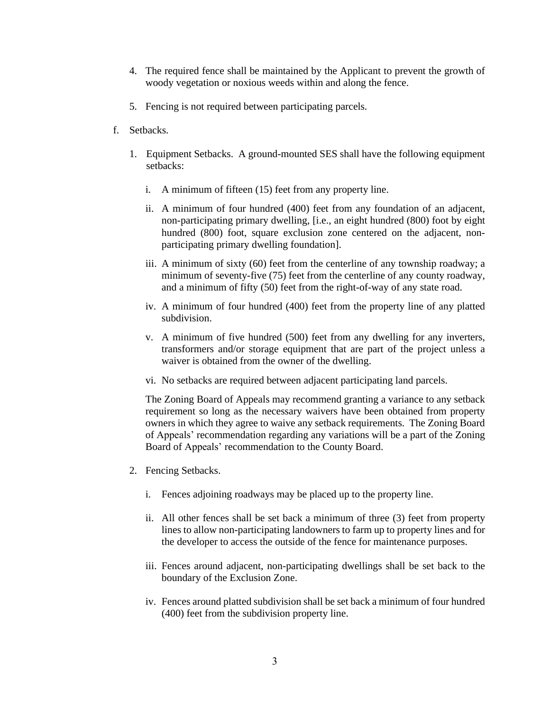- 4. The required fence shall be maintained by the Applicant to prevent the growth of woody vegetation or noxious weeds within and along the fence.
- 5. Fencing is not required between participating parcels.
- f. Setbacks.
	- 1. Equipment Setbacks. A ground-mounted SES shall have the following equipment setbacks:
		- i. A minimum of fifteen (15) feet from any property line.
		- ii. A minimum of four hundred (400) feet from any foundation of an adjacent, non-participating primary dwelling, [i.e., an eight hundred (800) foot by eight hundred (800) foot, square exclusion zone centered on the adjacent, nonparticipating primary dwelling foundation].
		- iii. A minimum of sixty (60) feet from the centerline of any township roadway; a minimum of seventy-five (75) feet from the centerline of any county roadway, and a minimum of fifty (50) feet from the right-of-way of any state road.
		- iv. A minimum of four hundred (400) feet from the property line of any platted subdivision.
		- v. A minimum of five hundred (500) feet from any dwelling for any inverters, transformers and/or storage equipment that are part of the project unless a waiver is obtained from the owner of the dwelling.
		- vi. No setbacks are required between adjacent participating land parcels.

The Zoning Board of Appeals may recommend granting a variance to any setback requirement so long as the necessary waivers have been obtained from property owners in which they agree to waive any setback requirements. The Zoning Board of Appeals' recommendation regarding any variations will be a part of the Zoning Board of Appeals' recommendation to the County Board.

- 2. Fencing Setbacks.
	- i. Fences adjoining roadways may be placed up to the property line.
	- ii. All other fences shall be set back a minimum of three (3) feet from property lines to allow non-participating landowners to farm up to property lines and for the developer to access the outside of the fence for maintenance purposes.
	- iii. Fences around adjacent, non-participating dwellings shall be set back to the boundary of the Exclusion Zone.
	- iv. Fences around platted subdivision shall be set back a minimum of four hundred (400) feet from the subdivision property line.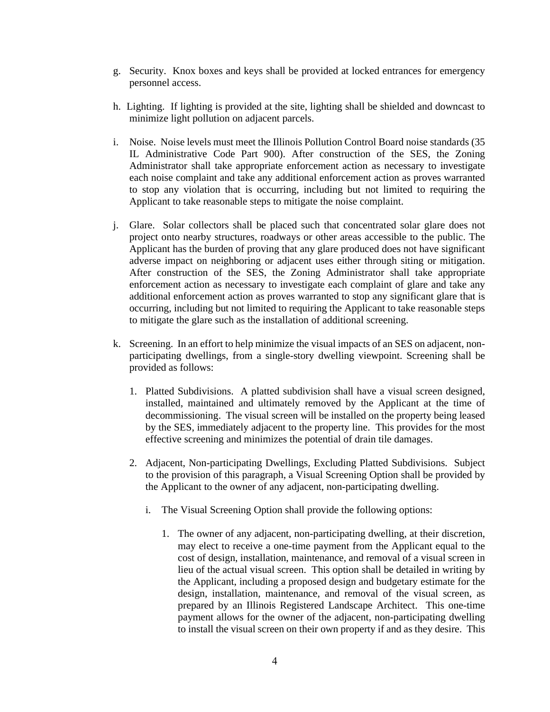- g. Security. Knox boxes and keys shall be provided at locked entrances for emergency personnel access.
- h. Lighting. If lighting is provided at the site, lighting shall be shielded and downcast to minimize light pollution on adjacent parcels.
- i. Noise. Noise levels must meet the Illinois Pollution Control Board noise standards (35 IL Administrative Code Part 900). After construction of the SES, the Zoning Administrator shall take appropriate enforcement action as necessary to investigate each noise complaint and take any additional enforcement action as proves warranted to stop any violation that is occurring, including but not limited to requiring the Applicant to take reasonable steps to mitigate the noise complaint.
- j. Glare. Solar collectors shall be placed such that concentrated solar glare does not project onto nearby structures, roadways or other areas accessible to the public. The Applicant has the burden of proving that any glare produced does not have significant adverse impact on neighboring or adjacent uses either through siting or mitigation. After construction of the SES, the Zoning Administrator shall take appropriate enforcement action as necessary to investigate each complaint of glare and take any additional enforcement action as proves warranted to stop any significant glare that is occurring, including but not limited to requiring the Applicant to take reasonable steps to mitigate the glare such as the installation of additional screening.
- k. Screening. In an effort to help minimize the visual impacts of an SES on adjacent, nonparticipating dwellings, from a single-story dwelling viewpoint. Screening shall be provided as follows:
	- 1. Platted Subdivisions. A platted subdivision shall have a visual screen designed, installed, maintained and ultimately removed by the Applicant at the time of decommissioning. The visual screen will be installed on the property being leased by the SES, immediately adjacent to the property line. This provides for the most effective screening and minimizes the potential of drain tile damages.
	- 2. Adjacent, Non-participating Dwellings, Excluding Platted Subdivisions. Subject to the provision of this paragraph, a Visual Screening Option shall be provided by the Applicant to the owner of any adjacent, non-participating dwelling.
		- i. The Visual Screening Option shall provide the following options:
			- 1. The owner of any adjacent, non-participating dwelling, at their discretion, may elect to receive a one-time payment from the Applicant equal to the cost of design, installation, maintenance, and removal of a visual screen in lieu of the actual visual screen. This option shall be detailed in writing by the Applicant, including a proposed design and budgetary estimate for the design, installation, maintenance, and removal of the visual screen, as prepared by an Illinois Registered Landscape Architect. This one-time payment allows for the owner of the adjacent, non-participating dwelling to install the visual screen on their own property if and as they desire. This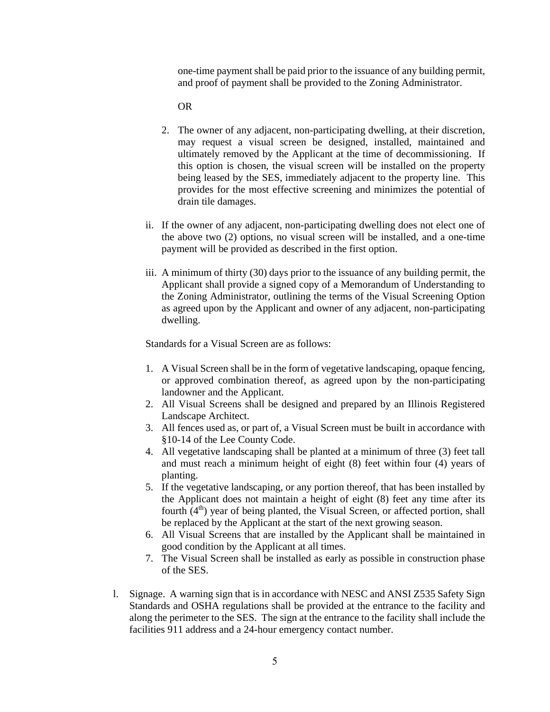one-time payment shall be paid prior to the issuance of any building permit, and proof of payment shall be provided to the Zoning Administrator.

OR

- 2. The owner of any adjacent, non-participating dwelling, at their discretion, may request a visual screen be designed, installed, maintained and ultimately removed by the Applicant at the time of decommissioning. If this option is chosen, the visual screen will be installed on the property being leased by the SES, immediately adjacent to the property line. This provides for the most effective screening and minimizes the potential of drain tile damages.
- ii. If the owner of any adjacent, non-participating dwelling does not elect one of the above two (2) options, no visual screen will be installed, and a one-time payment will be provided as described in the first option.
- iii. A minimum of thirty (30) days prior to the issuance of any building permit, the Applicant shall provide a signed copy of a Memorandum of Understanding to the Zoning Administrator, outlining the terms of the Visual Screening Option as agreed upon by the Applicant and owner of any adjacent, non-participating dwelling.

Standards for a Visual Screen are as follows:

- 1. A Visual Screen shall be in the form of vegetative landscaping, opaque fencing, or approved combination thereof, as agreed upon by the non-participating landowner and the Applicant.
- 2. All Visual Screens shall be designed and prepared by an Illinois Registered Landscape Architect.
- 3. All fences used as, or part of, a Visual Screen must be built in accordance with §10-14 of the Lee County Code.
- 4. All vegetative landscaping shall be planted at a minimum of three (3) feet tall and must reach a minimum height of eight (8) feet within four (4) years of planting.
- 5. If the vegetative landscaping, or any portion thereof, that has been installed by the Applicant does not maintain a height of eight (8) feet any time after its fourth (4<sup>th</sup>) year of being planted, the Visual Screen, or affected portion, shall be replaced by the Applicant at the start of the next growing season.
- 6. All Visual Screens that are installed by the Applicant shall be maintained in good condition by the Applicant at all times.
- 7. The Visual Screen shall be installed as early as possible in construction phase of the SES.
- l. Signage. A warning sign that is in accordance with NESC and ANSI Z535 Safety Sign Standards and OSHA regulations shall be provided at the entrance to the facility and along the perimeter to the SES. The sign at the entrance to the facility shall include the facilities 911 address and a 24-hour emergency contact number.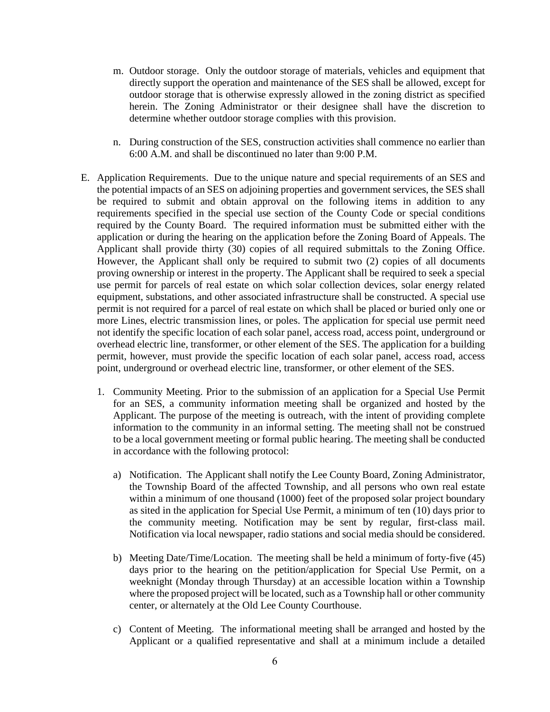- m. Outdoor storage. Only the outdoor storage of materials, vehicles and equipment that directly support the operation and maintenance of the SES shall be allowed, except for outdoor storage that is otherwise expressly allowed in the zoning district as specified herein. The Zoning Administrator or their designee shall have the discretion to determine whether outdoor storage complies with this provision.
- n. During construction of the SES, construction activities shall commence no earlier than 6:00 A.M. and shall be discontinued no later than 9:00 P.M.
- E. Application Requirements.Due to the unique nature and special requirements of an SES and the potential impacts of an SES on adjoining properties and government services, the SES shall be required to submit and obtain approval on the following items in addition to any requirements specified in the special use section of the County Code or special conditions required by the County Board. The required information must be submitted either with the application or during the hearing on the application before the Zoning Board of Appeals. The Applicant shall provide thirty (30) copies of all required submittals to the Zoning Office. However, the Applicant shall only be required to submit two (2) copies of all documents proving ownership or interest in the property. The Applicant shall be required to seek a special use permit for parcels of real estate on which solar collection devices, solar energy related equipment, substations, and other associated infrastructure shall be constructed. A special use permit is not required for a parcel of real estate on which shall be placed or buried only one or more Lines, electric transmission lines, or poles. The application for special use permit need not identify the specific location of each solar panel, access road, access point, underground or overhead electric line, transformer, or other element of the SES. The application for a building permit, however, must provide the specific location of each solar panel, access road, access point, underground or overhead electric line, transformer, or other element of the SES.
	- 1. Community Meeting. Prior to the submission of an application for a Special Use Permit for an SES, a community information meeting shall be organized and hosted by the Applicant. The purpose of the meeting is outreach, with the intent of providing complete information to the community in an informal setting. The meeting shall not be construed to be a local government meeting or formal public hearing. The meeting shall be conducted in accordance with the following protocol:
		- a) Notification. The Applicant shall notify the Lee County Board, Zoning Administrator, the Township Board of the affected Township, and all persons who own real estate within a minimum of one thousand (1000) feet of the proposed solar project boundary as sited in the application for Special Use Permit, a minimum of ten (10) days prior to the community meeting. Notification may be sent by regular, first-class mail. Notification via local newspaper, radio stations and social media should be considered.
		- b) Meeting Date/Time/Location. The meeting shall be held a minimum of forty-five (45) days prior to the hearing on the petition/application for Special Use Permit, on a weeknight (Monday through Thursday) at an accessible location within a Township where the proposed project will be located, such as a Township hall or other community center, or alternately at the Old Lee County Courthouse.
		- c) Content of Meeting. The informational meeting shall be arranged and hosted by the Applicant or a qualified representative and shall at a minimum include a detailed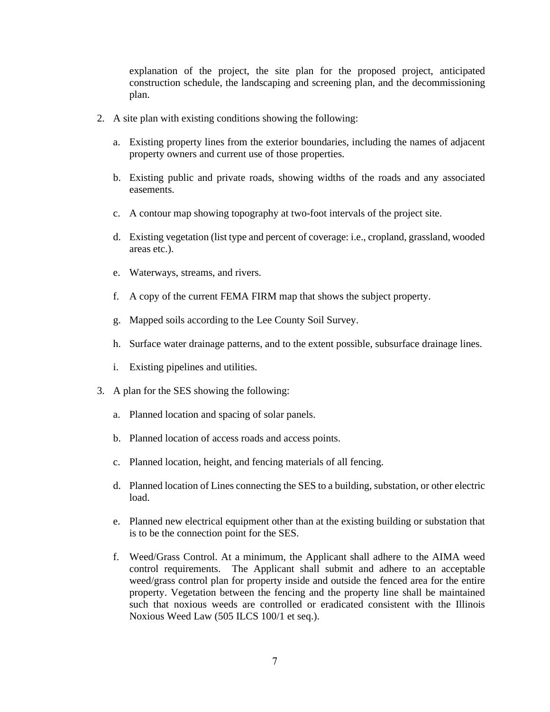explanation of the project, the site plan for the proposed project, anticipated construction schedule, the landscaping and screening plan, and the decommissioning plan.

- 2. A site plan with existing conditions showing the following:
	- a. Existing property lines from the exterior boundaries, including the names of adjacent property owners and current use of those properties.
	- b. Existing public and private roads, showing widths of the roads and any associated easements.
	- c. A contour map showing topography at two-foot intervals of the project site.
	- d. Existing vegetation (list type and percent of coverage: i.e., cropland, grassland, wooded areas etc.).
	- e. Waterways, streams, and rivers.
	- f. A copy of the current FEMA FIRM map that shows the subject property.
	- g. Mapped soils according to the Lee County Soil Survey.
	- h. Surface water drainage patterns, and to the extent possible, subsurface drainage lines.
	- i. Existing pipelines and utilities.
- 3. A plan for the SES showing the following:
	- a. Planned location and spacing of solar panels.
	- b. Planned location of access roads and access points.
	- c. Planned location, height, and fencing materials of all fencing.
	- d. Planned location of Lines connecting the SES to a building, substation, or other electric load.
	- e. Planned new electrical equipment other than at the existing building or substation that is to be the connection point for the SES.
	- f. Weed/Grass Control. At a minimum, the Applicant shall adhere to the AIMA weed control requirements. The Applicant shall submit and adhere to an acceptable weed/grass control plan for property inside and outside the fenced area for the entire property. Vegetation between the fencing and the property line shall be maintained such that noxious weeds are controlled or eradicated consistent with the Illinois Noxious Weed Law (505 ILCS 100/1 et seq.).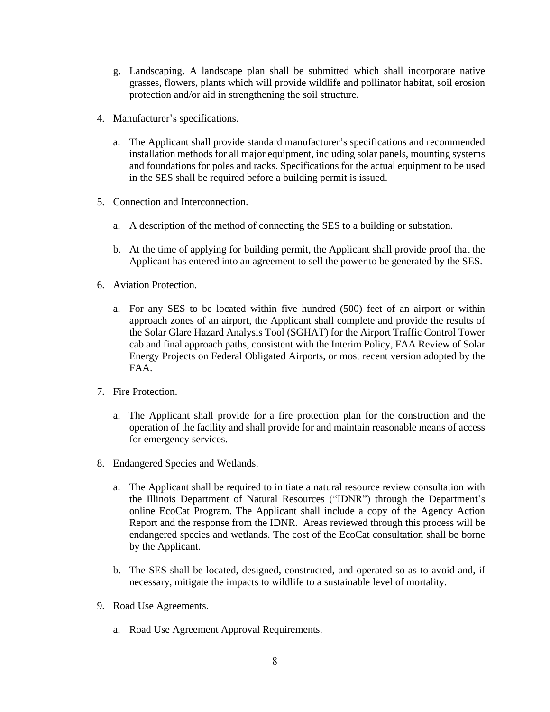- g. Landscaping. A landscape plan shall be submitted which shall incorporate native grasses, flowers, plants which will provide wildlife and pollinator habitat, soil erosion protection and/or aid in strengthening the soil structure.
- 4. Manufacturer's specifications.
	- a. The Applicant shall provide standard manufacturer's specifications and recommended installation methods for all major equipment, including solar panels, mounting systems and foundations for poles and racks. Specifications for the actual equipment to be used in the SES shall be required before a building permit is issued.
- 5. Connection and Interconnection.
	- a. A description of the method of connecting the SES to a building or substation.
	- b. At the time of applying for building permit, the Applicant shall provide proof that the Applicant has entered into an agreement to sell the power to be generated by the SES.
- 6. Aviation Protection.
	- a. For any SES to be located within five hundred (500) feet of an airport or within approach zones of an airport, the Applicant shall complete and provide the results of the Solar Glare Hazard Analysis Tool (SGHAT) for the Airport Traffic Control Tower cab and final approach paths, consistent with the Interim Policy, FAA Review of Solar Energy Projects on Federal Obligated Airports, or most recent version adopted by the FAA.
- 7. Fire Protection.
	- a. The Applicant shall provide for a fire protection plan for the construction and the operation of the facility and shall provide for and maintain reasonable means of access for emergency services.
- 8. Endangered Species and Wetlands.
	- a. The Applicant shall be required to initiate a natural resource review consultation with the Illinois Department of Natural Resources ("IDNR") through the Department's online EcoCat Program. The Applicant shall include a copy of the Agency Action Report and the response from the IDNR. Areas reviewed through this process will be endangered species and wetlands. The cost of the EcoCat consultation shall be borne by the Applicant.
	- b. The SES shall be located, designed, constructed, and operated so as to avoid and, if necessary, mitigate the impacts to wildlife to a sustainable level of mortality.
- 9. Road Use Agreements.
	- a. Road Use Agreement Approval Requirements.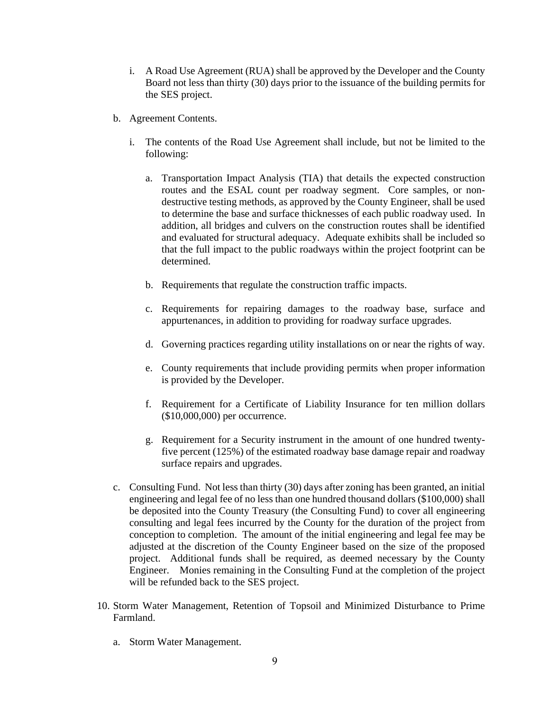- i. A Road Use Agreement (RUA) shall be approved by the Developer and the County Board not less than thirty (30) days prior to the issuance of the building permits for the SES project.
- b. Agreement Contents.
	- i. The contents of the Road Use Agreement shall include, but not be limited to the following:
		- a. Transportation Impact Analysis (TIA) that details the expected construction routes and the ESAL count per roadway segment. Core samples, or nondestructive testing methods, as approved by the County Engineer, shall be used to determine the base and surface thicknesses of each public roadway used. In addition, all bridges and culvers on the construction routes shall be identified and evaluated for structural adequacy. Adequate exhibits shall be included so that the full impact to the public roadways within the project footprint can be determined.
		- b. Requirements that regulate the construction traffic impacts.
		- c. Requirements for repairing damages to the roadway base, surface and appurtenances, in addition to providing for roadway surface upgrades.
		- d. Governing practices regarding utility installations on or near the rights of way.
		- e. County requirements that include providing permits when proper information is provided by the Developer.
		- f. Requirement for a Certificate of Liability Insurance for ten million dollars (\$10,000,000) per occurrence.
		- g. Requirement for a Security instrument in the amount of one hundred twentyfive percent (125%) of the estimated roadway base damage repair and roadway surface repairs and upgrades.
- c. Consulting Fund. Not less than thirty (30) days after zoning has been granted, an initial engineering and legal fee of no less than one hundred thousand dollars (\$100,000) shall be deposited into the County Treasury (the Consulting Fund) to cover all engineering consulting and legal fees incurred by the County for the duration of the project from conception to completion. The amount of the initial engineering and legal fee may be adjusted at the discretion of the County Engineer based on the size of the proposed project. Additional funds shall be required, as deemed necessary by the County Engineer. Monies remaining in the Consulting Fund at the completion of the project will be refunded back to the SES project.
- 10. Storm Water Management, Retention of Topsoil and Minimized Disturbance to Prime Farmland.
	- a. Storm Water Management.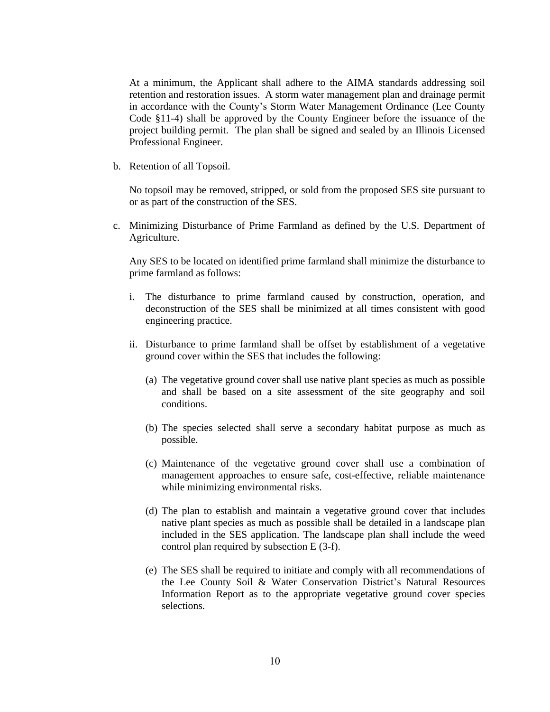At a minimum, the Applicant shall adhere to the AIMA standards addressing soil retention and restoration issues. A storm water management plan and drainage permit in accordance with the County's Storm Water Management Ordinance (Lee County Code §11-4) shall be approved by the County Engineer before the issuance of the project building permit. The plan shall be signed and sealed by an Illinois Licensed Professional Engineer.

b. Retention of all Topsoil.

No topsoil may be removed, stripped, or sold from the proposed SES site pursuant to or as part of the construction of the SES.

c. Minimizing Disturbance of Prime Farmland as defined by the U.S. Department of Agriculture.

Any SES to be located on identified prime farmland shall minimize the disturbance to prime farmland as follows:

- i. The disturbance to prime farmland caused by construction, operation, and deconstruction of the SES shall be minimized at all times consistent with good engineering practice.
- ii. Disturbance to prime farmland shall be offset by establishment of a vegetative ground cover within the SES that includes the following:
	- (a) The vegetative ground cover shall use native plant species as much as possible and shall be based on a site assessment of the site geography and soil conditions.
	- (b) The species selected shall serve a secondary habitat purpose as much as possible.
	- (c) Maintenance of the vegetative ground cover shall use a combination of management approaches to ensure safe, cost-effective, reliable maintenance while minimizing environmental risks.
	- (d) The plan to establish and maintain a vegetative ground cover that includes native plant species as much as possible shall be detailed in a landscape plan included in the SES application. The landscape plan shall include the weed control plan required by subsection E (3-f).
	- (e) The SES shall be required to initiate and comply with all recommendations of the Lee County Soil & Water Conservation District's Natural Resources Information Report as to the appropriate vegetative ground cover species selections.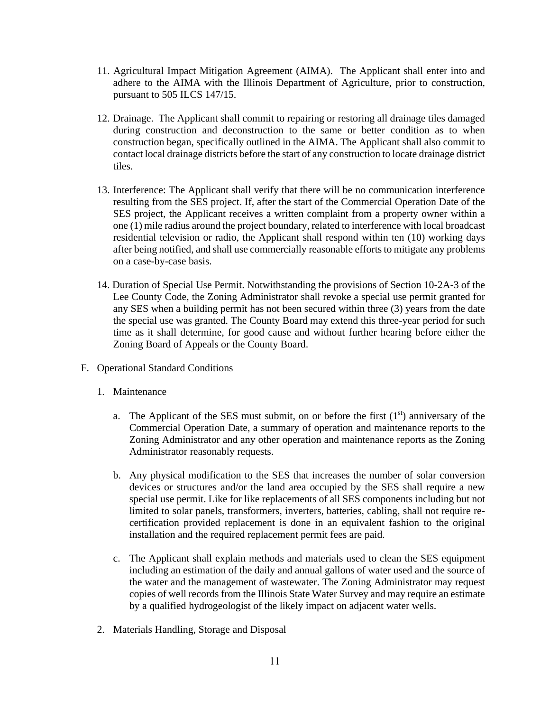- 11. Agricultural Impact Mitigation Agreement (AIMA). The Applicant shall enter into and adhere to the AIMA with the Illinois Department of Agriculture, prior to construction, pursuant to 505 ILCS 147/15.
- 12. Drainage. The Applicant shall commit to repairing or restoring all drainage tiles damaged during construction and deconstruction to the same or better condition as to when construction began, specifically outlined in the AIMA. The Applicant shall also commit to contact local drainage districts before the start of any construction to locate drainage district tiles.
- 13. Interference: The Applicant shall verify that there will be no communication interference resulting from the SES project. If, after the start of the Commercial Operation Date of the SES project, the Applicant receives a written complaint from a property owner within a one (1) mile radius around the project boundary, related to interference with local broadcast residential television or radio, the Applicant shall respond within ten (10) working days after being notified, and shall use commercially reasonable efforts to mitigate any problems on a case-by-case basis.
- 14. Duration of Special Use Permit. Notwithstanding the provisions of Section 10-2A-3 of the Lee County Code, the Zoning Administrator shall revoke a special use permit granted for any SES when a building permit has not been secured within three (3) years from the date the special use was granted. The County Board may extend this three-year period for such time as it shall determine, for good cause and without further hearing before either the Zoning Board of Appeals or the County Board.
- F. Operational Standard Conditions
	- 1. Maintenance
		- a. The Applicant of the SES must submit, on or before the first  $(1<sup>st</sup>)$  anniversary of the Commercial Operation Date, a summary of operation and maintenance reports to the Zoning Administrator and any other operation and maintenance reports as the Zoning Administrator reasonably requests.
		- b. Any physical modification to the SES that increases the number of solar conversion devices or structures and/or the land area occupied by the SES shall require a new special use permit. Like for like replacements of all SES components including but not limited to solar panels, transformers, inverters, batteries, cabling, shall not require recertification provided replacement is done in an equivalent fashion to the original installation and the required replacement permit fees are paid.
		- c. The Applicant shall explain methods and materials used to clean the SES equipment including an estimation of the daily and annual gallons of water used and the source of the water and the management of wastewater. The Zoning Administrator may request copies of well records from the Illinois State Water Survey and may require an estimate by a qualified hydrogeologist of the likely impact on adjacent water wells.
	- 2. Materials Handling, Storage and Disposal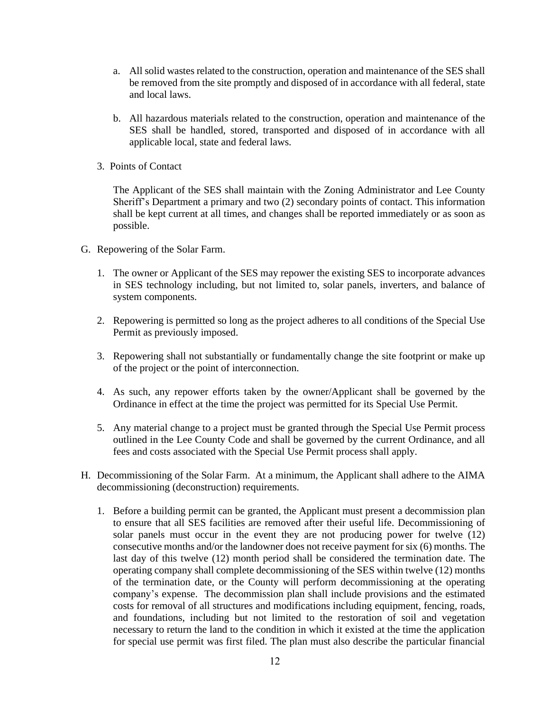- a. All solid wastes related to the construction, operation and maintenance of the SES shall be removed from the site promptly and disposed of in accordance with all federal, state and local laws.
- b. All hazardous materials related to the construction, operation and maintenance of the SES shall be handled, stored, transported and disposed of in accordance with all applicable local, state and federal laws.
- 3. Points of Contact

The Applicant of the SES shall maintain with the Zoning Administrator and Lee County Sheriff's Department a primary and two (2) secondary points of contact. This information shall be kept current at all times, and changes shall be reported immediately or as soon as possible.

- G. Repowering of the Solar Farm.
	- 1. The owner or Applicant of the SES may repower the existing SES to incorporate advances in SES technology including, but not limited to, solar panels, inverters, and balance of system components.
	- 2. Repowering is permitted so long as the project adheres to all conditions of the Special Use Permit as previously imposed.
	- 3. Repowering shall not substantially or fundamentally change the site footprint or make up of the project or the point of interconnection.
	- 4. As such, any repower efforts taken by the owner/Applicant shall be governed by the Ordinance in effect at the time the project was permitted for its Special Use Permit.
	- 5. Any material change to a project must be granted through the Special Use Permit process outlined in the Lee County Code and shall be governed by the current Ordinance, and all fees and costs associated with the Special Use Permit process shall apply.
- H. Decommissioning of the Solar Farm. At a minimum, the Applicant shall adhere to the AIMA decommissioning (deconstruction) requirements.
	- 1. Before a building permit can be granted, the Applicant must present a decommission plan to ensure that all SES facilities are removed after their useful life. Decommissioning of solar panels must occur in the event they are not producing power for twelve (12) consecutive months and/or the landowner does not receive payment for six (6) months. The last day of this twelve (12) month period shall be considered the termination date. The operating company shall complete decommissioning of the SES within twelve (12) months of the termination date, or the County will perform decommissioning at the operating company's expense. The decommission plan shall include provisions and the estimated costs for removal of all structures and modifications including equipment, fencing, roads, and foundations, including but not limited to the restoration of soil and vegetation necessary to return the land to the condition in which it existed at the time the application for special use permit was first filed. The plan must also describe the particular financial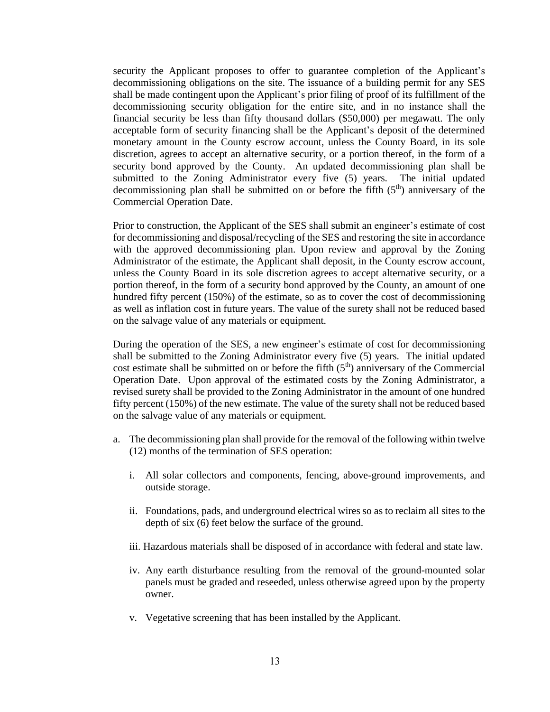security the Applicant proposes to offer to guarantee completion of the Applicant's decommissioning obligations on the site. The issuance of a building permit for any SES shall be made contingent upon the Applicant's prior filing of proof of its fulfillment of the decommissioning security obligation for the entire site, and in no instance shall the financial security be less than fifty thousand dollars (\$50,000) per megawatt. The only acceptable form of security financing shall be the Applicant's deposit of the determined monetary amount in the County escrow account, unless the County Board, in its sole discretion, agrees to accept an alternative security, or a portion thereof, in the form of a security bond approved by the County. An updated decommissioning plan shall be submitted to the Zoning Administrator every five (5) years. The initial updated decommissioning plan shall be submitted on or before the fifth  $(5<sup>th</sup>)$  anniversary of the Commercial Operation Date.

Prior to construction, the Applicant of the SES shall submit an engineer's estimate of cost for decommissioning and disposal/recycling of the SES and restoring the site in accordance with the approved decommissioning plan. Upon review and approval by the Zoning Administrator of the estimate, the Applicant shall deposit, in the County escrow account, unless the County Board in its sole discretion agrees to accept alternative security, or a portion thereof, in the form of a security bond approved by the County, an amount of one hundred fifty percent (150%) of the estimate, so as to cover the cost of decommissioning as well as inflation cost in future years. The value of the surety shall not be reduced based on the salvage value of any materials or equipment.

During the operation of the SES, a new engineer's estimate of cost for decommissioning shall be submitted to the Zoning Administrator every five (5) years. The initial updated cost estimate shall be submitted on or before the fifth  $(5<sup>th</sup>)$  anniversary of the Commercial Operation Date. Upon approval of the estimated costs by the Zoning Administrator, a revised surety shall be provided to the Zoning Administrator in the amount of one hundred fifty percent (150%) of the new estimate. The value of the surety shall not be reduced based on the salvage value of any materials or equipment.

- a. The decommissioning plan shall provide for the removal of the following within twelve (12) months of the termination of SES operation:
	- i. All solar collectors and components, fencing, above-ground improvements, and outside storage.
	- ii. Foundations, pads, and underground electrical wires so as to reclaim all sites to the depth of six (6) feet below the surface of the ground.
	- iii. Hazardous materials shall be disposed of in accordance with federal and state law.
	- iv. Any earth disturbance resulting from the removal of the ground-mounted solar panels must be graded and reseeded, unless otherwise agreed upon by the property owner.
	- v. Vegetative screening that has been installed by the Applicant.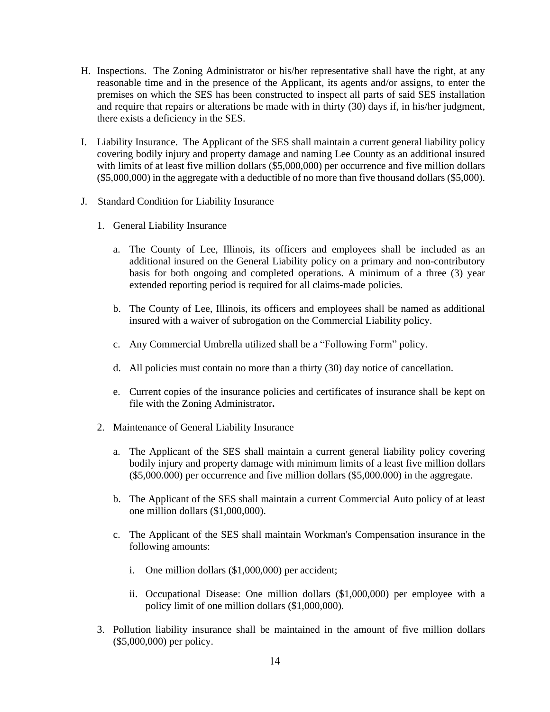- H. Inspections. The Zoning Administrator or his/her representative shall have the right, at any reasonable time and in the presence of the Applicant, its agents and/or assigns, to enter the premises on which the SES has been constructed to inspect all parts of said SES installation and require that repairs or alterations be made with in thirty (30) days if, in his/her judgment, there exists a deficiency in the SES.
- I. Liability Insurance. The Applicant of the SES shall maintain a current general liability policy covering bodily injury and property damage and naming Lee County as an additional insured with limits of at least five million dollars (\$5,000,000) per occurrence and five million dollars (\$5,000,000) in the aggregate with a deductible of no more than five thousand dollars (\$5,000).
- J. Standard Condition for Liability Insurance
	- 1. General Liability Insurance
		- a. The County of Lee, Illinois, its officers and employees shall be included as an additional insured on the General Liability policy on a primary and non-contributory basis for both ongoing and completed operations. A minimum of a three (3) year extended reporting period is required for all claims-made policies.
		- b. The County of Lee, Illinois, its officers and employees shall be named as additional insured with a waiver of subrogation on the Commercial Liability policy.
		- c. Any Commercial Umbrella utilized shall be a "Following Form" policy.
		- d. All policies must contain no more than a thirty (30) day notice of cancellation.
		- e. Current copies of the insurance policies and certificates of insurance shall be kept on file with the Zoning Administrator**.**
	- 2. Maintenance of General Liability Insurance
		- a. The Applicant of the SES shall maintain a current general liability policy covering bodily injury and property damage with minimum limits of a least five million dollars (\$5,000.000) per occurrence and five million dollars (\$5,000.000) in the aggregate.
		- b. The Applicant of the SES shall maintain a current Commercial Auto policy of at least one million dollars (\$1,000,000).
		- c. The Applicant of the SES shall maintain Workman's Compensation insurance in the following amounts:
			- i. One million dollars (\$1,000,000) per accident;
			- ii. Occupational Disease: One million dollars (\$1,000,000) per employee with a policy limit of one million dollars (\$1,000,000).
	- 3. Pollution liability insurance shall be maintained in the amount of five million dollars (\$5,000,000) per policy.